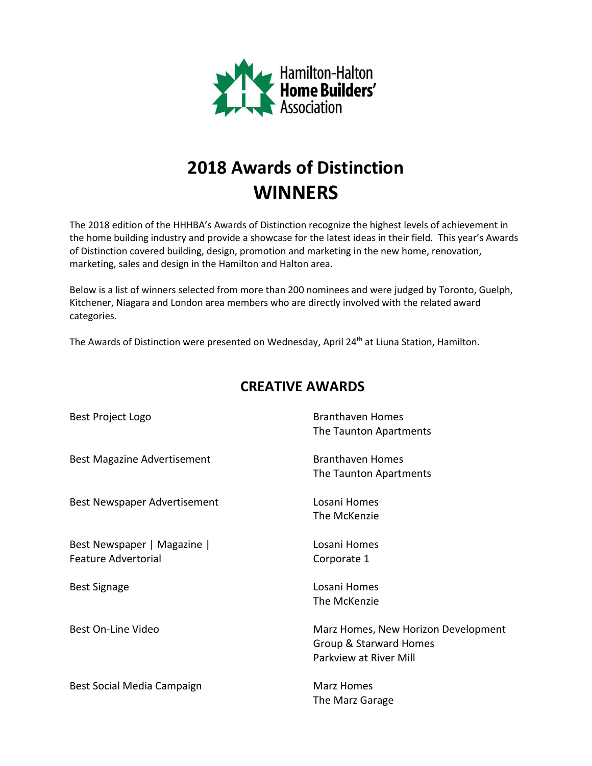

# **2018 Awards of Distinction WINNERS**

The 2018 edition of the HHHBA's Awards of Distinction recognize the highest levels of achievement in the home building industry and provide a showcase for the latest ideas in their field. This year's Awards of Distinction covered building, design, promotion and marketing in the new home, renovation, marketing, sales and design in the Hamilton and Halton area.

Below is a list of winners selected from more than 200 nominees and were judged by Toronto, Guelph, Kitchener, Niagara and London area members who are directly involved with the related award categories.

The Awards of Distinction were presented on Wednesday, April 24<sup>th</sup> at Liuna Station, Hamilton.

| Best Project Logo                                         | <b>Branthaven Homes</b><br>The Taunton Apartments                                       |
|-----------------------------------------------------------|-----------------------------------------------------------------------------------------|
| <b>Best Magazine Advertisement</b>                        | <b>Branthaven Homes</b><br>The Taunton Apartments                                       |
| Best Newspaper Advertisement                              | Losani Homes<br>The McKenzie                                                            |
| Best Newspaper   Magazine  <br><b>Feature Advertorial</b> | Losani Homes<br>Corporate 1                                                             |
| <b>Best Signage</b>                                       | Losani Homes<br>The McKenzie                                                            |
| Best On-Line Video                                        | Marz Homes, New Horizon Development<br>Group & Starward Homes<br>Parkview at River Mill |
| Best Social Media Campaign                                | Marz Homes<br>The Marz Garage                                                           |

## **CREATIVE AWARDS**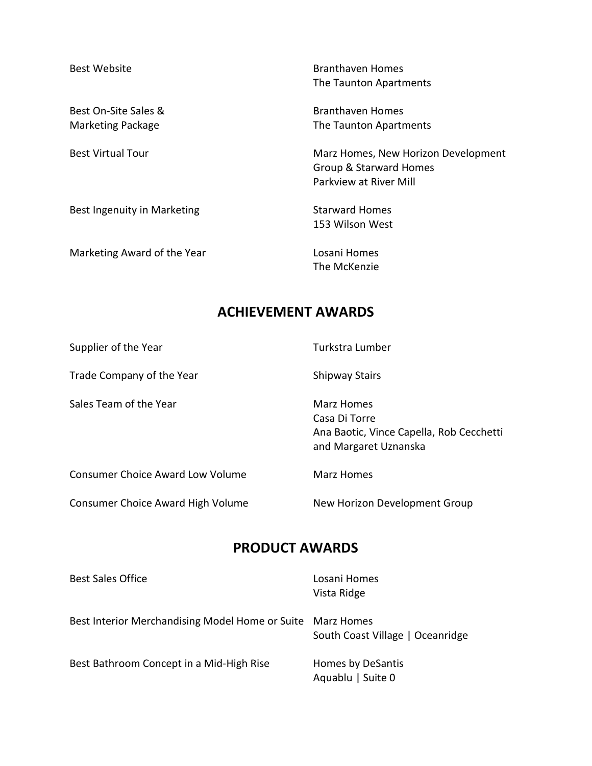Best On-Site Sales & Branthaven Homes

Best Ingenuity in Marketing Starward Homes

Marketing Award of the Year **Losani Homes** 

Best Website **Branthaven Homes** The Taunton Apartments

Marketing Package The Taunton Apartments

Best Virtual Tour **Marz Homes, New Horizon Development** Group & Starward Homes Parkview at River Mill

153 Wilson West

The McKenzie

### **ACHIEVEMENT AWARDS**

| Supplier of the Year                    | Turkstra Lumber                                                                                  |
|-----------------------------------------|--------------------------------------------------------------------------------------------------|
| Trade Company of the Year               | <b>Shipway Stairs</b>                                                                            |
| Sales Team of the Year                  | Marz Homes<br>Casa Di Torre<br>Ana Baotic, Vince Capella, Rob Cecchetti<br>and Margaret Uznanska |
| <b>Consumer Choice Award Low Volume</b> | Marz Homes                                                                                       |
| Consumer Choice Award High Volume       | New Horizon Development Group                                                                    |

### **PRODUCT AWARDS**

| <b>Best Sales Office</b>                                   | Losani Homes<br>Vista Ridge            |
|------------------------------------------------------------|----------------------------------------|
| Best Interior Merchandising Model Home or Suite Marz Homes | South Coast Village   Oceanridge       |
| Best Bathroom Concept in a Mid-High Rise                   | Homes by DeSantis<br>Aquablu   Suite 0 |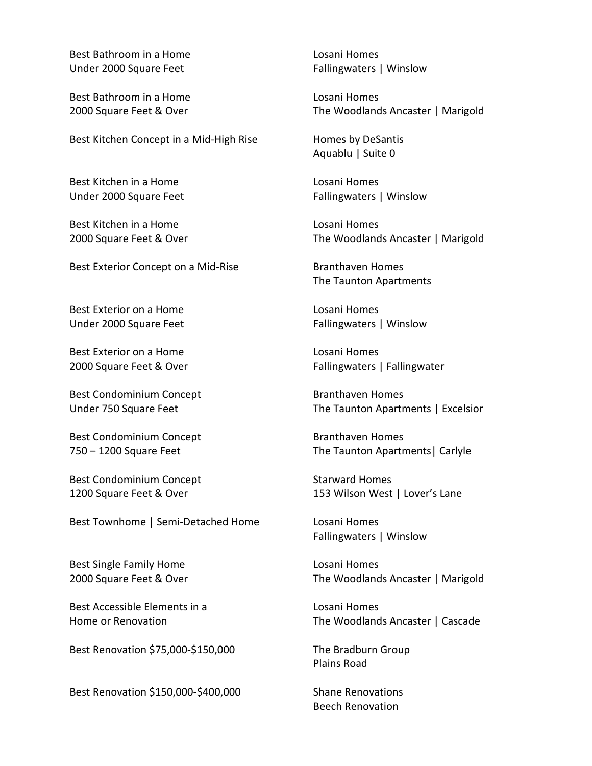Best Bathroom in a Home Losani Homes Under 2000 Square Feet Fallingwaters | Winslow

Best Bathroom in a Home Losani Homes

Best Kitchen Concept in a Mid-High Rise Homes by DeSantis

Best Kitchen in a Home Losani Homes

Best Kitchen in a Home Losani Homes

Best Exterior Concept on a Mid-Rise Branthaven Homes

Best Exterior on a Home Losani Homes Under 2000 Square Feet Fallingwaters | Winslow

Best Exterior on a Home **Losani Homes** 

Best Condominium Concept Branthaven Homes

Best Condominium Concept **Branthaven Homes** 

Best Condominium Concept Starward Homes

Best Townhome | Semi-Detached Home Losani Homes

Best Single Family Home Losani Homes

Best Accessible Elements in a Losani Homes

Best Renovation \$75,000-\$150,000 The Bradburn Group

Best Renovation \$150,000-\$400,000 Shane Renovations

2000 Square Feet & Over The Woodlands Ancaster | Marigold

Aquablu | Suite 0

Under 2000 Square Feet Fallingwaters | Winslow

2000 Square Feet & Over The Woodlands Ancaster | Marigold

The Taunton Apartments

2000 Square Feet & Over Fallingwaters | Fallingwaters | Fallingwater

Under 750 Square Feet The Taunton Apartments | Excelsior

750 – 1200 Square Feet The Taunton Apartments | Carlyle

1200 Square Feet & Over 153 Wilson West | Lover's Lane

Fallingwaters | Winslow

2000 Square Feet & Over The Woodlands Ancaster | Marigold

Home or Renovation The Woodlands Ancaster | Cascade

Plains Road

Beech Renovation